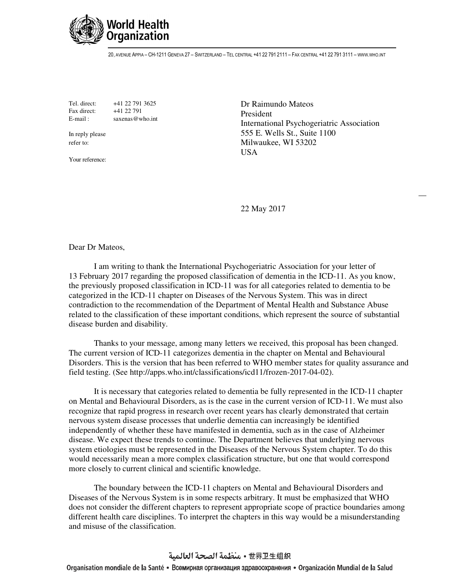

20, AVENUE APPIA – CH-1211 GENEVA 27 – SWITZERLAND – TEL CENTRAL +41 22 791 2111 – FAX CENTRAL +41 22 791 3111 – WWW.WHO.INT

Tel. direct: +41 22 791 3625 Fax direct: +41 22 791 E-mail: saxenas@who.int

In reply please refer to:

Your reference:

Dr Raimundo Mateos President International Psychogeriatric Association 555 E. Wells St., Suite 1100 Milwaukee, WI 53202 USA

22 May 2017

Dear Dr Mateos,

 I am writing to thank the International Psychogeriatric Association for your letter of 13 February 2017 regarding the proposed classification of dementia in the ICD-11. As you know, the previously proposed classification in ICD-11 was for all categories related to dementia to be categorized in the ICD-11 chapter on Diseases of the Nervous System. This was in direct contradiction to the recommendation of the Department of Mental Health and Substance Abuse related to the classification of these important conditions, which represent the source of substantial disease burden and disability.

 Thanks to your message, among many letters we received, this proposal has been changed. The current version of ICD-11 categorizes dementia in the chapter on Mental and Behavioural Disorders. This is the version that has been referred to WHO member states for quality assurance and field testing. (See http://apps.who.int/classifications/icd11/frozen-2017-04-02).

 It is necessary that categories related to dementia be fully represented in the ICD-11 chapter on Mental and Behavioural Disorders, as is the case in the current version of ICD-11. We must also recognize that rapid progress in research over recent years has clearly demonstrated that certain nervous system disease processes that underlie dementia can increasingly be identified independently of whether these have manifested in dementia, such as in the case of Alzheimer disease. We expect these trends to continue. The Department believes that underlying nervous system etiologies must be represented in the Diseases of the Nervous System chapter. To do this would necessarily mean a more complex classification structure, but one that would correspond more closely to current clinical and scientific knowledge.

 The boundary between the ICD-11 chapters on Mental and Behavioural Disorders and Diseases of the Nervous System is in some respects arbitrary. It must be emphasized that WHO does not consider the different chapters to represent appropriate scope of practice boundaries among different health care disciplines. To interpret the chapters in this way would be a misunderstanding and misuse of the classification.

## 世界卫生组织 • منظمة الصحة العالمية